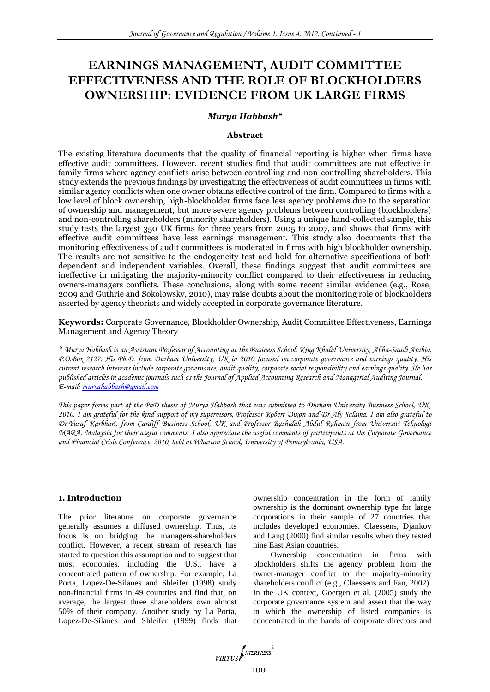# **EARNINGS MANAGEMENT, AUDIT COMMITTEE EFFECTIVENESS AND THE ROLE OF BLOCKHOLDERS OWNERSHIP: EVIDENCE FROM UK LARGE FIRMS**

## *Murya Habbash\**

#### **Abstract**

The existing literature documents that the quality of financial reporting is higher when firms have effective audit committees. However, recent studies find that audit committees are not effective in family firms where agency conflicts arise between controlling and non-controlling shareholders. This study extends the previous findings by investigating the effectiveness of audit committees in firms with similar agency conflicts when one owner obtains effective control of the firm. Compared to firms with a low level of block ownership, high-blockholder firms face less agency problems due to the separation of ownership and management, but more severe agency problems between controlling (blockholders) and non-controlling shareholders (minority shareholders). Using a unique hand-collected sample, this study tests the largest 350 UK firms for three years from 2005 to 2007, and shows that firms with effective audit committees have less earnings management. This study also documents that the monitoring effectiveness of audit committees is moderated in firms with high blockholder ownership. The results are not sensitive to the endogeneity test and hold for alternative specifications of both dependent and independent variables. Overall, these findings suggest that audit committees are ineffective in mitigating the majority-minority conflict compared to their effectiveness in reducing owners-managers conflicts. These conclusions, along with some recent similar evidence (e.g., Rose, 2009 and Guthrie and Sokolowsky, 2010), may raise doubts about the monitoring role of blockholders asserted by agency theorists and widely accepted in corporate governance literature.

**Keywords:** Corporate Governance, Blockholder Ownership, Audit Committee Effectiveness, Earnings Management and Agency Theory

*\* Murya Habbash is an Assistant Professor of Accounting at the Business School, King Khalid University, Abha-Saudi Arabia, P.O.Box 2127. His Ph.D. from Durham University, UK in 2010 focused on corporate governance and earnings quality. His current research interests include corporate governance, audit quality, corporate social responsibility and earnings quality. He has published articles in academic journals such as the Journal of Applied Accounting Research and Managerial Auditing Journal. E-mail: [muryahabbash@gmail.com](mailto:muryahabbash@gmail.com)*

*This paper forms part of the PhD thesis of Murya Habbash that was submitted to Durham University Business School, UK, 2010. I am grateful for the kind support of my supervisors, Professor Robert Dixon and Dr Aly Salama. I am also grateful to Dr Yusuf Karbhari, from Cardiff Business School, UK and Professor Rashidah Abdul Rahman from Universiti Teknologi MARA, Malaysia for their useful comments. I also appreciate the useful comments of participants at the Corporate Governance and Financial Crisis Conference, 2010, held at Wharton School, University of Pennsylvania, USA.*

# **1. Introduction**

The prior literature on corporate governance generally assumes a diffused ownership. Thus, its focus is on bridging the managers-shareholders conflict. However, a recent stream of research has started to question this assumption and to suggest that most economies, including the U.S., have a concentrated pattern of ownership. For example, La Porta, Lopez-De-Silanes and Shleifer (1998) study non-financial firms in 49 countries and find that, on average, the largest three shareholders own almost 50% of their company. Another study by La Porta, Lopez-De-Silanes and Shleifer (1999) finds that ownership concentration in the form of family ownership is the dominant ownership type for large corporations in their sample of 27 countries that includes developed economies. Claessens, Djankov and Lang (2000) find similar results when they tested nine East Asian countries.

Ownership concentration in firms with blockholders shifts the agency problem from the owner-manager conflict to the majority-minority shareholders conflict (e.g., Claessens and Fan, 2002). In the UK context, Goergen et al. (2005) study the corporate governance system and assert that the way in which the ownership of listed companies is concentrated in the hands of corporate directors and

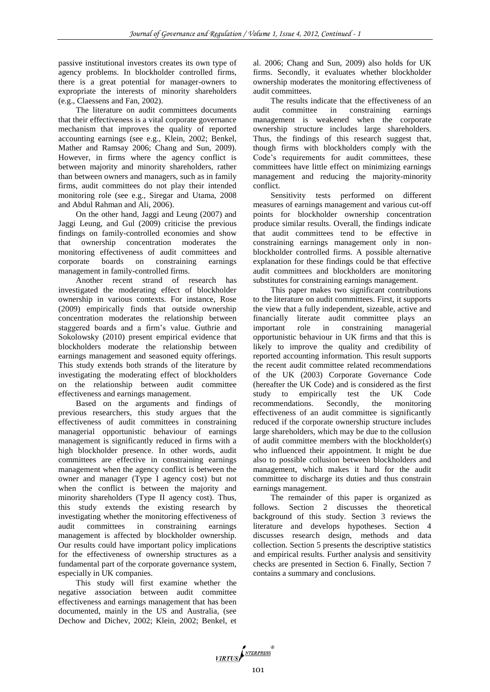passive institutional investors creates its own type of agency problems. In blockholder controlled firms, there is a great potential for manager-owners to expropriate the interests of minority shareholders (e.g., Claessens and Fan, 2002).

The literature on audit committees documents that their effectiveness is a vital corporate governance mechanism that improves the quality of reported accounting earnings (see e.g., Klein, 2002; Benkel, Mather and Ramsay 2006; Chang and Sun, 2009). However, in firms where the agency conflict is between majority and minority shareholders, rather than between owners and managers, such as in family firms, audit committees do not play their intended monitoring role (see e.g., Siregar and Utama, 2008 and Abdul Rahman and Ali, 2006).

On the other hand, Jaggi and Leung (2007) and Jaggi Leung, and Gul (2009) criticise the previous findings on family-controlled economies and show that ownership concentration moderates the monitoring effectiveness of audit committees and corporate boards on constraining earnings management in family-controlled firms.

Another recent strand of research has investigated the moderating effect of blockholder ownership in various contexts. For instance, Rose (2009) empirically finds that outside ownership concentration moderates the relationship between staggered boards and a firm's value. Guthrie and Sokolowsky (2010) present empirical evidence that blockholders moderate the relationship between earnings management and seasoned equity offerings. This study extends both strands of the literature by investigating the moderating effect of blockholders on the relationship between audit committee effectiveness and earnings management.

Based on the arguments and findings of previous researchers, this study argues that the effectiveness of audit committees in constraining managerial opportunistic behaviour of earnings management is significantly reduced in firms with a high blockholder presence. In other words, audit committees are effective in constraining earnings management when the agency conflict is between the owner and manager (Type I agency cost) but not when the conflict is between the majority and minority shareholders (Type II agency cost). Thus, this study extends the existing research by investigating whether the monitoring effectiveness of audit committees in constraining earnings management is affected by blockholder ownership. Our results could have important policy implications for the effectiveness of ownership structures as a fundamental part of the corporate governance system, especially in UK companies.

This study will first examine whether the negative association between audit committee effectiveness and earnings management that has been documented, mainly in the US and Australia, (see Dechow and Dichev, 2002; Klein, 2002; Benkel, et al. 2006; Chang and Sun, 2009) also holds for UK firms. Secondly, it evaluates whether blockholder ownership moderates the monitoring effectiveness of audit committees.

The results indicate that the effectiveness of an audit committee in constraining earnings management is weakened when the corporate ownership structure includes large shareholders. Thus, the findings of this research suggest that, though firms with blockholders comply with the Code's requirements for audit committees, these committees have little effect on minimizing earnings management and reducing the majority-minority conflict.

Sensitivity tests performed on different measures of earnings management and various cut-off points for blockholder ownership concentration produce similar results. Overall, the findings indicate that audit committees tend to be effective in constraining earnings management only in nonblockholder controlled firms. A possible alternative explanation for these findings could be that effective audit committees and blockholders are monitoring substitutes for constraining earnings management.

This paper makes two significant contributions to the literature on audit committees. First, it supports the view that a fully independent, sizeable, active and financially literate audit committee plays an important role in constraining managerial opportunistic behaviour in UK firms and that this is likely to improve the quality and credibility of reported accounting information. This result supports the recent audit committee related recommendations of the UK (2003) Corporate Governance Code (hereafter the UK Code) and is considered as the first study to empirically test the UK Code recommendations. Secondly, the monitoring effectiveness of an audit committee is significantly reduced if the corporate ownership structure includes large shareholders, which may be due to the collusion of audit committee members with the blockholder(s) who influenced their appointment. It might be due also to possible collusion between blockholders and management, which makes it hard for the audit committee to discharge its duties and thus constrain earnings management.

The remainder of this paper is organized as follows. Section 2 discusses the theoretical background of this study. Section 3 reviews the literature and develops hypotheses. Section 4 discusses research design, methods and data collection. Section 5 presents the descriptive statistics and empirical results. Further analysis and sensitivity checks are presented in Section 6. Finally, Section 7 contains a summary and conclusions.

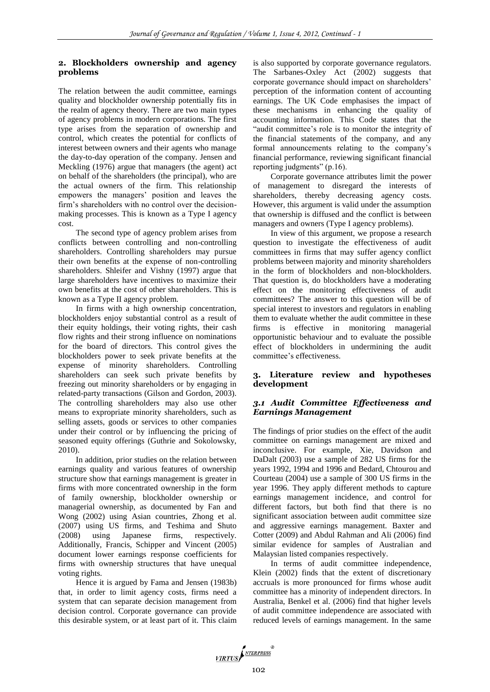# **2. Blockholders ownership and agency problems**

The relation between the audit committee, earnings quality and blockholder ownership potentially fits in the realm of agency theory. There are two main types of agency problems in modern corporations. The first type arises from the separation of ownership and control, which creates the potential for conflicts of interest between owners and their agents who manage the day-to-day operation of the company. Jensen and Meckling (1976) argue that managers (the agent) act on behalf of the shareholders (the principal), who are the actual owners of the firm. This relationship empowers the managers' position and leaves the firm's shareholders with no control over the decisionmaking processes. This is known as a Type I agency cost.

The second type of agency problem arises from conflicts between controlling and non-controlling shareholders. Controlling shareholders may pursue their own benefits at the expense of non-controlling shareholders. Shleifer and Vishny (1997) argue that large shareholders have incentives to maximize their own benefits at the cost of other shareholders. This is known as a Type II agency problem.

In firms with a high ownership concentration, blockholders enjoy substantial control as a result of their equity holdings, their voting rights, their cash flow rights and their strong influence on nominations for the board of directors. This control gives the blockholders power to seek private benefits at the expense of minority shareholders. Controlling shareholders can seek such private benefits by freezing out minority shareholders or by engaging in related-party transactions (Gilson and Gordon, 2003). The controlling shareholders may also use other means to expropriate minority shareholders, such as selling assets, goods or services to other companies under their control or by influencing the pricing of seasoned equity offerings (Guthrie and Sokolowsky, 2010).

In addition, prior studies on the relation between earnings quality and various features of ownership structure show that earnings management is greater in firms with more concentrated ownership in the form of family ownership, blockholder ownership or managerial ownership, as documented by Fan and Wong (2002) using Asian countries, Zhong et al. (2007) using US firms, and Teshima and Shuto (2008) using Japanese firms, respectively. Additionally, Francis, Schipper and Vincent (2005) document lower earnings response coefficients for firms with ownership structures that have unequal voting rights.

Hence it is argued by Fama and Jensen (1983b) that, in order to limit agency costs, firms need a system that can separate decision management from decision control. Corporate governance can provide this desirable system, or at least part of it. This claim

is also supported by corporate governance regulators. The Sarbanes-Oxley Act (2002) suggests that corporate governance should impact on shareholders' perception of the information content of accounting earnings. The UK Code emphasises the impact of these mechanisms in enhancing the quality of accounting information. This Code states that the "audit committee's role is to monitor the integrity of the financial statements of the company, and any formal announcements relating to the company's financial performance, reviewing significant financial reporting judgments" (p.16).

Corporate governance attributes limit the power of management to disregard the interests of shareholders, thereby decreasing agency costs. However, this argument is valid under the assumption that ownership is diffused and the conflict is between managers and owners (Type I agency problems).

In view of this argument, we propose a research question to investigate the effectiveness of audit committees in firms that may suffer agency conflict problems between majority and minority shareholders in the form of blockholders and non-blockholders. That question is, do blockholders have a moderating effect on the monitoring effectiveness of audit committees? The answer to this question will be of special interest to investors and regulators in enabling them to evaluate whether the audit committee in these firms is effective in monitoring managerial opportunistic behaviour and to evaluate the possible effect of blockholders in undermining the audit committee's effectiveness.

# **3. Literature review and hypotheses development**

# *3.1 Audit Committee Effectiveness and Earnings Management*

The findings of prior studies on the effect of the audit committee on earnings management are mixed and inconclusive. For example, Xie, Davidson and DaDalt (2003) use a sample of 282 US firms for the years 1992, 1994 and 1996 and Bedard, Chtourou and Courteau (2004) use a sample of 300 US firms in the year 1996. They apply different methods to capture earnings management incidence, and control for different factors, but both find that there is no significant association between audit committee size and aggressive earnings management. Baxter and Cotter (2009) and Abdul Rahman and Ali (2006) find similar evidence for samples of Australian and Malaysian listed companies respectively.

In terms of audit committee independence, Klein (2002) finds that the extent of discretionary accruals is more pronounced for firms whose audit committee has a minority of independent directors. In Australia, Benkel et al. (2006) find that higher levels of audit committee independence are associated with reduced levels of earnings management. In the same

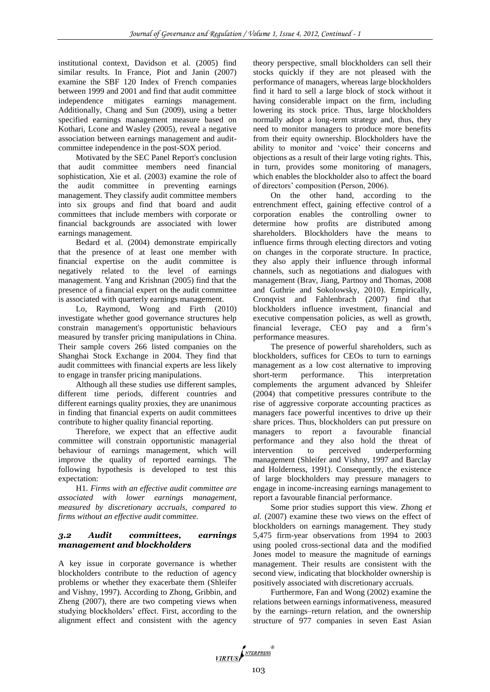institutional context, Davidson et al. (2005) find similar results. In France, Piot and Janin (2007) examine the SBF 120 Index of French companies between 1999 and 2001 and find that audit committee independence mitigates earnings management. Additionally, Chang and Sun (2009), using a better specified earnings management measure based on Kothari, Lcone and Wasley (2005), reveal a negative association between earnings management and auditcommittee independence in the post-SOX period.

Motivated by the SEC Panel Report's conclusion that audit committee members need financial sophistication, Xie et al. (2003) examine the role of the audit committee in preventing earnings management. They classify audit committee members into six groups and find that board and audit committees that include members with corporate or financial backgrounds are associated with lower earnings management.

Bedard et al. (2004) demonstrate empirically that the presence of at least one member with financial expertise on the audit committee is negatively related to the level of earnings management. Yang and Krishnan (2005) find that the presence of a financial expert on the audit committee is associated with quarterly earnings management.

Lo, Raymond, Wong and Firth (2010) investigate whether good governance structures help constrain management's opportunistic behaviours measured by transfer pricing manipulations in China. Their sample covers 266 listed companies on the Shanghai Stock Exchange in 2004. They find that audit committees with financial experts are less likely to engage in transfer pricing manipulations.

Although all these studies use different samples, different time periods, different countries and different earnings quality proxies, they are unanimous in finding that financial experts on audit committees contribute to higher quality financial reporting.

Therefore, we expect that an effective audit committee will constrain opportunistic managerial behaviour of earnings management, which will improve the quality of reported earnings. The following hypothesis is developed to test this expectation:

H1. *Firms with an effective audit committee are associated with lower earnings management, measured by discretionary accruals, compared to firms without an effective audit committee.*

# *3.2 Audit committees, earnings management and blockholders*

A key issue in corporate governance is whether blockholders contribute to the reduction of agency problems or whether they exacerbate them (Shleifer and Vishny, 1997). According to Zhong, Gribbin, and Zheng (2007), there are two competing views when studying blockholders' effect. First, according to the alignment effect and consistent with the agency theory perspective, small blockholders can sell their stocks quickly if they are not pleased with the performance of managers, whereas large blockholders find it hard to sell a large block of stock without it having considerable impact on the firm, including lowering its stock price. Thus, large blockholders normally adopt a long-term strategy and, thus, they need to monitor managers to produce more benefits from their equity ownership. Blockholders have the ability to monitor and 'voice' their concerns and objections as a result of their large voting rights. This, in turn, provides some monitoring of managers, which enables the blockholder also to affect the board of directors' composition (Person, 2006).

On the other hand, according to the entrenchment effect, gaining effective control of a corporation enables the controlling owner to determine how profits are distributed among shareholders. Blockholders have the means to influence firms through electing directors and voting on changes in the corporate structure. In practice, they also apply their influence through informal channels, such as negotiations and dialogues with management (Brav, Jiang, Partnoy and Thomas, 2008 and Guthrie and Sokolowsky, 2010). Empirically, Cronqvist and Fahlenbrach (2007) find that blockholders influence investment, financial and executive compensation policies, as well as growth, financial leverage, CEO pay and a firm's performance measures.

The presence of powerful shareholders, such as blockholders, suffices for CEOs to turn to earnings management as a low cost alternative to improving short-term performance. This interpretation complements the argument advanced by Shleifer (2004) that competitive pressures contribute to the rise of aggressive corporate accounting practices as managers face powerful incentives to drive up their share prices. Thus, blockholders can put pressure on managers to report a favourable financial performance and they also hold the threat of intervention to perceived underperforming management (Shleifer and Vishny, 1997 and Barclay and Holderness, 1991). Consequently, the existence of large blockholders may pressure managers to engage in income-increasing earnings management to report a favourable financial performance.

Some prior studies support this view. Zhong *et al*. (2007) examine these two views on the effect of blockholders on earnings management. They study 5,475 firm-year observations from 1994 to 2003 using pooled cross-sectional data and the modified Jones model to measure the magnitude of earnings management. Their results are consistent with the second view, indicating that blockholder ownership is positively associated with discretionary accruals.

Furthermore, Fan and Wong (2002) examine the relations between earnings informativeness, measured by the earnings–return relation, and the ownership structure of 977 companies in seven East Asian

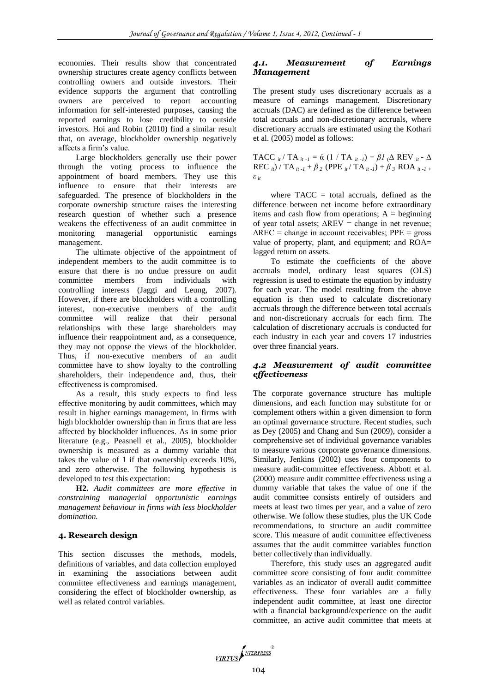economies. Their results show that concentrated ownership structures create agency conflicts between controlling owners and outside investors. Their evidence supports the argument that controlling owners are perceived to report accounting information for self-interested purposes, causing the reported earnings to lose credibility to outside investors. Hoi and Robin (2010) find a similar result that, on average, blockholder ownership negatively affects a firm's value.

Large blockholders generally use their power through the voting process to influence the appointment of board members. They use this influence to ensure that their interests are safeguarded. The presence of blockholders in the corporate ownership structure raises the interesting research question of whether such a presence weakens the effectiveness of an audit committee in monitoring managerial opportunistic earnings management.

The ultimate objective of the appointment of independent members to the audit committee is to ensure that there is no undue pressure on audit committee members from individuals with controlling interests (Jaggi and Leung, 2007). However, if there are blockholders with a controlling interest, non-executive members of the audit committee will realize that their personal relationships with these large shareholders may influence their reappointment and, as a consequence, they may not oppose the views of the blockholder. Thus, if non-executive members of an audit committee have to show loyalty to the controlling shareholders, their independence and, thus, their effectiveness is compromised.

As a result, this study expects to find less effective monitoring by audit committees, which may result in higher earnings management, in firms with high blockholder ownership than in firms that are less affected by blockholder influences. As in some prior literature (e.g., Peasnell et al., 2005), blockholder ownership is measured as a dummy variable that takes the value of 1 if that ownership exceeds 10%, and zero otherwise. The following hypothesis is developed to test this expectation:

**H2.** *Audit committees are more effective in constraining managerial opportunistic earnings management behaviour in firms with less blockholder domination.*

# **4. Research design**

This section discusses the methods, models, definitions of variables, and data collection employed in examining the associations between audit committee effectiveness and earnings management, considering the effect of blockholder ownership, as well as related control variables.

## *4.1. Measurement of Earnings Management*

The present study uses discretionary accruals as a measure of earnings management. Discretionary accruals (DAC) are defined as the difference between total accruals and non-discretionary accruals, where discretionary accruals are estimated using the Kothari et al. (2005) model as follows:

TACC  $_{it}$  / TA  $_{it-1}$  = ά (1 / TA  $_{it-1}$ ) +  $\beta$ I ( $\Delta$  REV  $_{it}$  -  $\Delta$  $REC_{it}$ ) /  $TA_{it-1} + \beta_2$  (PPE  $_{it}$  /  $TA_{it-1}$ ) +  $\beta_3$  ROA  $_{it-1+1}$ *εit* 

where  $TACC = total$  accruals, defined as the difference between net income before extraordinary items and cash flow from operations;  $A =$  beginning of year total assets;  $\Delta$ REV = change in net revenue;  $\Delta$ REC = change in account receivables: PPE = gross value of property, plant, and equipment; and ROA= lagged return on assets.

To estimate the coefficients of the above accruals model, ordinary least squares (OLS) regression is used to estimate the equation by industry for each year. The model resulting from the above equation is then used to calculate discretionary accruals through the difference between total accruals and non-discretionary accruals for each firm. The calculation of discretionary accruals is conducted for each industry in each year and covers 17 industries over three financial years.

## *4.2 Measurement of audit committee effectiveness*

The corporate governance structure has multiple dimensions, and each function may substitute for or complement others within a given dimension to form an optimal governance structure. Recent studies, such as Dey (2005) and Chang and Sun (2009), consider a comprehensive set of individual governance variables to measure various corporate governance dimensions. Similarly, Jenkins (2002) uses four components to measure audit-committee effectiveness. Abbott et al. (2000) measure audit committee effectiveness using a dummy variable that takes the value of one if the audit committee consists entirely of outsiders and meets at least two times per year, and a value of zero otherwise. We follow these studies, plus the UK Code recommendations, to structure an audit committee score. This measure of audit committee effectiveness assumes that the audit committee variables function better collectively than individually.

Therefore, this study uses an aggregated audit committee score consisting of four audit committee variables as an indicator of overall audit committee effectiveness. These four variables are a fully independent audit committee, at least one director with a financial background/experience on the audit committee, an active audit committee that meets at

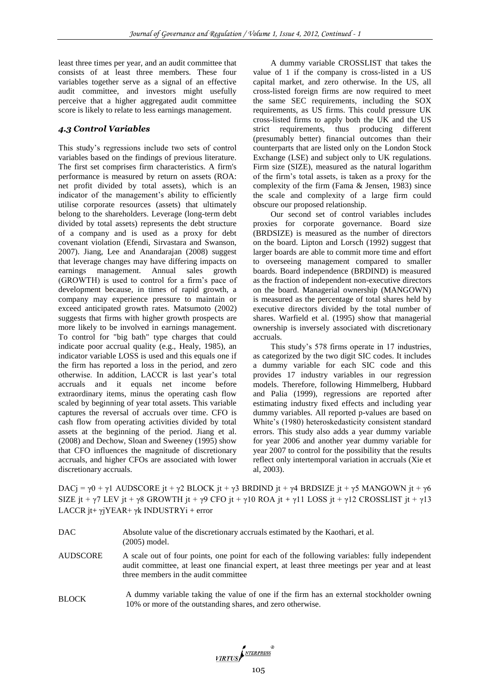least three times per year, and an audit committee that consists of at least three members. These four variables together serve as a signal of an effective audit committee, and investors might usefully perceive that a higher aggregated audit committee score is likely to relate to less earnings management.

# *4.3 Control Variables*

This study's regressions include two sets of control variables based on the findings of previous literature. The first set comprises firm characteristics. A firm's performance is measured by return on assets (ROA: net profit divided by total assets), which is an indicator of the management's ability to efficiently utilise corporate resources (assets) that ultimately belong to the shareholders. Leverage (long-term debt divided by total assets) represents the debt structure of a company and is used as a proxy for debt covenant violation (Efendi, Sirvastara and Swanson, 2007). Jiang, Lee and Anandarajan (2008) suggest that leverage changes may have differing impacts on earnings management. Annual sales growth (GROWTH) is used to control for a firm's pace of development because, in times of rapid growth, a company may experience pressure to maintain or exceed anticipated growth rates. Matsumoto (2002) suggests that firms with higher growth prospects are more likely to be involved in earnings management. To control for "big bath" type charges that could indicate poor accrual quality (e.g., Healy, 1985), an indicator variable LOSS is used and this equals one if the firm has reported a loss in the period, and zero otherwise. In addition, LACCR is last year's total accruals and it equals net income before extraordinary items, minus the operating cash flow scaled by beginning of year total assets. This variable captures the reversal of accruals over time. CFO is cash flow from operating activities divided by total assets at the beginning of the period. Jiang et al. (2008) and Dechow, Sloan and Sweeney (1995) show that CFO influences the magnitude of discretionary accruals, and higher CFOs are associated with lower discretionary accruals.

A dummy variable CROSSLIST that takes the value of 1 if the company is cross-listed in a US capital market, and zero otherwise. In the US, all cross-listed foreign firms are now required to meet the same SEC requirements, including the SOX requirements, as US firms. This could pressure UK cross-listed firms to apply both the UK and the US strict requirements, thus producing different (presumably better) financial outcomes than their counterparts that are listed only on the London Stock Exchange (LSE) and subject only to UK regulations. Firm size (SIZE), measured as the natural logarithm of the firm's total assets, is taken as a proxy for the complexity of the firm (Fama & Jensen, 1983) since the scale and complexity of a large firm could obscure our proposed relationship.

Our second set of control variables includes proxies for corporate governance. Board size (BRDSIZE) is measured as the number of directors on the board. Lipton and Lorsch (1992) suggest that larger boards are able to commit more time and effort to overseeing management compared to smaller boards. Board independence (BRDIND) is measured as the fraction of independent non-executive directors on the board. Managerial ownership (MANGOWN) is measured as the percentage of total shares held by executive directors divided by the total number of shares. Warfield et al. (1995) show that managerial ownership is inversely associated with discretionary accruals.

This study's 578 firms operate in 17 industries, as categorized by the two digit SIC codes. It includes a dummy variable for each SIC code and this provides 17 industry variables in our regression models. Therefore, following Himmelberg, Hubbard and Palia (1999), regressions are reported after estimating industry fixed effects and including year dummy variables. All reported p-values are based on White's (1980) heteroskedasticity consistent standard errors. This study also adds a year dummy variable for year 2006 and another year dummy variable for year 2007 to control for the possibility that the results reflect only intertemporal variation in accruals (Xie et al, 2003).

DACj =  $\gamma$ 0 +  $\gamma$ 1 AUDSCORE jt +  $\gamma$ 2 BLOCK jt +  $\gamma$ 3 BRDIND jt +  $\gamma$ 4 BRDSIZE jt +  $\gamma$ 5 MANGOWN jt +  $\gamma$ 6 SIZE jt + γ7 LEV jt + γ8 GROWTH jt + γ9 CFO jt + γ10 ROA jt + γ11 LOSS jt + γ12 CROSSLIST jt + γ13 LACCR jt+ γjYEAR+ γk INDUSTRYi + error

DAC Absolute value of the discretionary accruals estimated by the Kaothari, et al. (2005) model.

AUDSCORE A scale out of four points, one point for each of the following variables: fully independent audit committee, at least one financial expert, at least three meetings per year and at least three members in the audit committee

BLOCK A dummy variable taking the value of one if the firm has an external stockholder owning 10% or more of the outstanding shares, and zero otherwise.

VIRTUS<br>105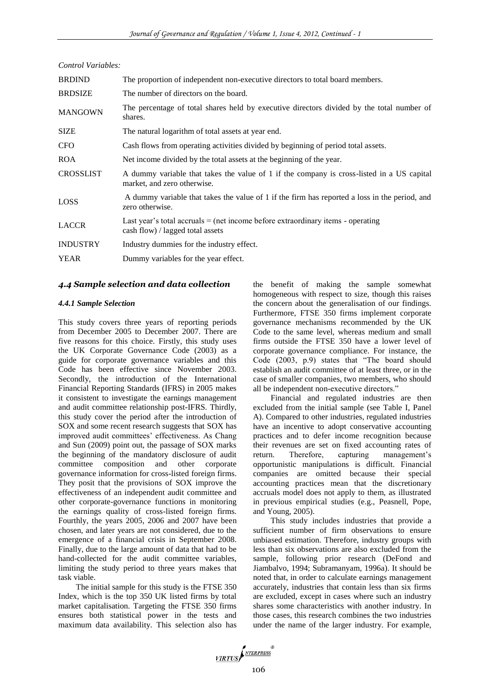| <b>BRDIND</b>    | The proportion of independent non-executive directors to total board members.                                            |
|------------------|--------------------------------------------------------------------------------------------------------------------------|
| <b>BRDSIZE</b>   | The number of directors on the board.                                                                                    |
| <b>MANGOWN</b>   | The percentage of total shares held by executive directors divided by the total number of<br>shares.                     |
| <b>SIZE</b>      | The natural logarithm of total assets at year end.                                                                       |
| <b>CFO</b>       | Cash flows from operating activities divided by beginning of period total assets.                                        |
| <b>ROA</b>       | Net income divided by the total assets at the beginning of the year.                                                     |
| <b>CROSSLIST</b> | A dummy variable that takes the value of 1 if the company is cross-listed in a US capital<br>market, and zero otherwise. |
| <b>LOSS</b>      | A dummy variable that takes the value of 1 if the firm has reported a loss in the period, and<br>zero otherwise.         |
| <b>LACCR</b>     | Last year's total accruals $=$ (net income before extraordinary items - operating<br>cash flow) / lagged total assets    |
| <b>INDUSTRY</b>  | Industry dummies for the industry effect.                                                                                |
| YEAR             | Dummy variables for the year effect.                                                                                     |

#### *Control Variables:*

## *4.4 Sample selection and data collection*

#### *4.4.1 Sample Selection*

This study covers three years of reporting periods from December 2005 to December 2007. There are five reasons for this choice. Firstly, this study uses the UK Corporate Governance Code (2003) as a guide for corporate governance variables and this Code has been effective since November 2003. Secondly, the introduction of the International Financial Reporting Standards (IFRS) in 2005 makes it consistent to investigate the earnings management and audit committee relationship post-IFRS. Thirdly, this study cover the period after the introduction of SOX and some recent research suggests that SOX has improved audit committees' effectiveness. As Chang and Sun (2009) point out, the passage of SOX marks the beginning of the mandatory disclosure of audit committee composition and other corporate governance information for cross-listed foreign firms. They posit that the provisions of SOX improve the effectiveness of an independent audit committee and other corporate-governance functions in monitoring the earnings quality of cross-listed foreign firms. Fourthly, the years 2005, 2006 and 2007 have been chosen, and later years are not considered, due to the emergence of a financial crisis in September 2008. Finally, due to the large amount of data that had to be hand-collected for the audit committee variables, limiting the study period to three years makes that task viable.

The initial sample for this study is the FTSE 350 Index, which is the top 350 UK listed firms by total market capitalisation. Targeting the FTSE 350 firms ensures both statistical power in the tests and maximum data availability. This selection also has

the benefit of making the sample somewhat homogeneous with respect to size, though this raises the concern about the generalisation of our findings. Furthermore, FTSE 350 firms implement corporate governance mechanisms recommended by the UK Code to the same level, whereas medium and small firms outside the FTSE 350 have a lower level of corporate governance compliance. For instance, the Code (2003, p.9) states that "The board should establish an audit committee of at least three, or in the case of smaller companies, two members, who should all be independent non-executive directors."

Financial and regulated industries are then excluded from the initial sample (see Table I, Panel A). Compared to other industries, regulated industries have an incentive to adopt conservative accounting practices and to defer income recognition because their revenues are set on fixed accounting rates of return. Therefore, capturing management's opportunistic manipulations is difficult. Financial companies are omitted because their special accounting practices mean that the discretionary accruals model does not apply to them, as illustrated in previous empirical studies (e.g., Peasnell, Pope, and Young, 2005).

This study includes industries that provide a sufficient number of firm observations to ensure unbiased estimation. Therefore, industry groups with less than six observations are also excluded from the sample, following prior research (DeFond and Jiambalvo, 1994; Subramanyam, 1996a). It should be noted that, in order to calculate earnings management accurately, industries that contain less than six firms are excluded, except in cases where such an industry shares some characteristics with another industry. In those cases, this research combines the two industries under the name of the larger industry. For example,

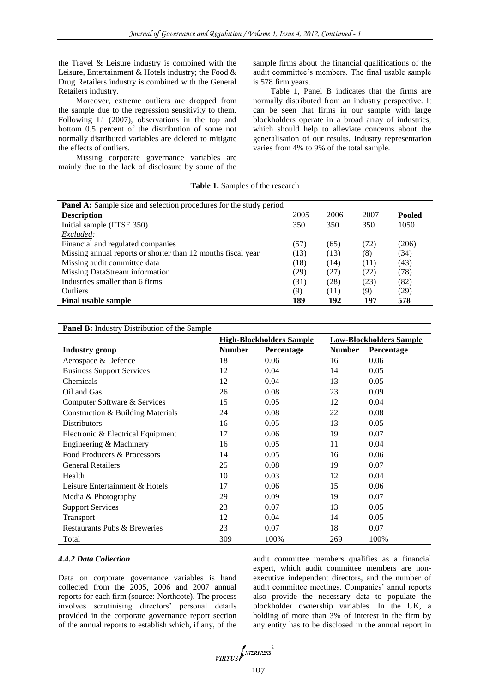the Travel & Leisure industry is combined with the Leisure, Entertainment & Hotels industry; the Food & Drug Retailers industry is combined with the General Retailers industry.

Moreover, extreme outliers are dropped from the sample due to the regression sensitivity to them. Following Li (2007), observations in the top and bottom 0.5 percent of the distribution of some not normally distributed variables are deleted to mitigate the effects of outliers.

Missing corporate governance variables are mainly due to the lack of disclosure by some of the

sample firms about the financial qualifications of the audit committee's members. The final usable sample is 578 firm years.

Table 1, Panel B indicates that the firms are normally distributed from an industry perspective. It can be seen that firms in our sample with large blockholders operate in a broad array of industries, which should help to alleviate concerns about the generalisation of our results. Industry representation varies from 4% to 9% of the total sample.

#### **Table 1.** Samples of the research

| <b>Panel A:</b> Sample size and selection procedures for the study period |      |      |      |        |  |  |  |  |  |
|---------------------------------------------------------------------------|------|------|------|--------|--|--|--|--|--|
| <b>Description</b>                                                        | 2005 | 2006 | 2007 | Pooled |  |  |  |  |  |
| Initial sample (FTSE 350)                                                 | 350  | 350  | 350  | 1050   |  |  |  |  |  |
| Excluded:                                                                 |      |      |      |        |  |  |  |  |  |
| Financial and regulated companies                                         | (57) | (65) | (72) | (206)  |  |  |  |  |  |
| Missing annual reports or shorter than 12 months fiscal year              | (13) | (13) | (8)  | (34)   |  |  |  |  |  |
| Missing audit committee data                                              | (18) | (14) | (11) | (43)   |  |  |  |  |  |
| Missing DataStream information                                            | (29) | (27) | (22) | (78)   |  |  |  |  |  |
| Industries smaller than 6 firms                                           | (31) | (28) | (23) | (82)   |  |  |  |  |  |
| <b>Outliers</b>                                                           | (9)  | (11) | (9)  | (29)   |  |  |  |  |  |
| <b>Final usable sample</b>                                                | 189  | 192  | 197  | 578    |  |  |  |  |  |

| <b>Panel B:</b> Industry Distribution of the Sample |               |                                 |                                |                   |  |  |  |
|-----------------------------------------------------|---------------|---------------------------------|--------------------------------|-------------------|--|--|--|
|                                                     |               | <b>High-Blockholders Sample</b> | <b>Low-Blockholders Sample</b> |                   |  |  |  |
| <b>Industry group</b>                               | <b>Number</b> | Percentage                      | <b>Number</b>                  | <b>Percentage</b> |  |  |  |
| Aerospace & Defence                                 | 18            | 0.06                            | 16                             | 0.06              |  |  |  |
| <b>Business Support Services</b>                    | 12            | 0.04                            | 14                             | 0.05              |  |  |  |
| Chemicals                                           | 12            | 0.04                            | 13                             | 0.05              |  |  |  |
| Oil and Gas                                         | 26            | 0.08                            | 23                             | 0.09              |  |  |  |
| Computer Software & Services                        | 15            | 0.05                            | 12                             | 0.04              |  |  |  |
| Construction & Building Materials                   | 24            | 0.08                            | 22                             | 0.08              |  |  |  |
| <b>Distributors</b>                                 | 16            | 0.05                            | 13                             | 0.05              |  |  |  |
| Electronic & Electrical Equipment                   | 17            | 0.06                            | 19                             | 0.07              |  |  |  |
| Engineering & Machinery                             | 16            | 0.05                            | 11                             | 0.04              |  |  |  |
| Food Producers & Processors                         | 14            | 0.05                            | 16                             | 0.06              |  |  |  |
| <b>General Retailers</b>                            | 25            | 0.08                            | 19                             | 0.07              |  |  |  |
| Health                                              | 10            | 0.03                            | 12                             | 0.04              |  |  |  |
| Leisure Entertainment & Hotels                      | 17            | 0.06                            | 15                             | 0.06              |  |  |  |
| Media & Photography                                 | 29            | 0.09                            | 19                             | 0.07              |  |  |  |
| <b>Support Services</b>                             | 23            | 0.07                            | 13                             | 0.05              |  |  |  |
| Transport                                           | 12            | 0.04                            | 14                             | 0.05              |  |  |  |
| Restaurants Pubs & Breweries                        | 23            | 0.07                            | 18                             | 0.07              |  |  |  |
| Total                                               | 309           | 100%                            | 269                            | 100%              |  |  |  |

#### *4.4.2 Data Collection*

Data on corporate governance variables is hand collected from the 2005, 2006 and 2007 annual reports for each firm (source: Northcote). The process involves scrutinising directors' personal details provided in the corporate governance report section of the annual reports to establish which, if any, of the audit committee members qualifies as a financial expert, which audit committee members are nonexecutive independent directors, and the number of audit committee meetings. Companies' annul reports also provide the necessary data to populate the blockholder ownership variables. In the UK, a holding of more than 3% of interest in the firm by any entity has to be disclosed in the annual report in

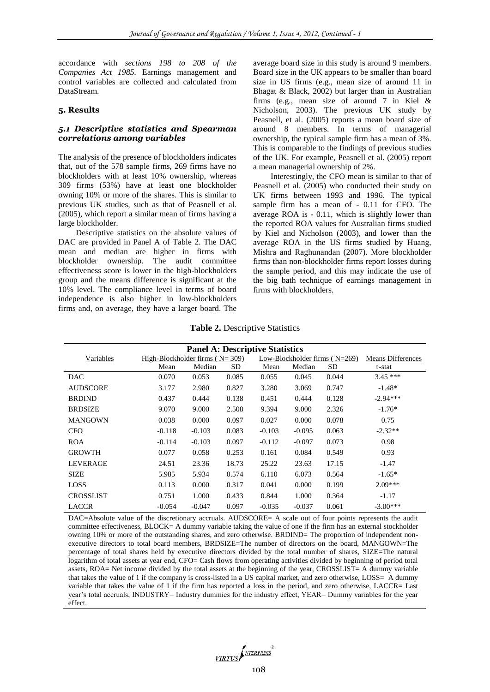accordance with *sections 198 to 208 of the Companies Act 1985.* Earnings management and control variables are collected and calculated from DataStream.

#### **5. Results**

## *5.1 Descriptive statistics and Spearman correlations among variables*

The analysis of the presence of blockholders indicates that, out of the 578 sample firms, 269 firms have no blockholders with at least 10% ownership, whereas 309 firms (53%) have at least one blockholder owning 10% or more of the shares. This is similar to previous UK studies, such as that of Peasnell et al. (2005), which report a similar mean of firms having a large blockholder.

Descriptive statistics on the absolute values of DAC are provided in Panel A of Table 2. The DAC mean and median are higher in firms with blockholder ownership. The audit committee effectiveness score is lower in the high-blockholders group and the means difference is significant at the 10% level. The compliance level in terms of board independence is also higher in low-blockholders firms and, on average, they have a larger board. The

average board size in this study is around 9 members. Board size in the UK appears to be smaller than board size in US firms (e.g., mean size of around 11 in Bhagat & Black, 2002) but larger than in Australian firms (e.g., mean size of around 7 in Kiel & Nicholson, 2003). The previous UK study by Peasnell, et al. (2005) reports a mean board size of around 8 members. In terms of managerial ownership, the typical sample firm has a mean of 3%. This is comparable to the findings of previous studies of the UK. For example, Peasnell et al. (2005) report a mean managerial ownership of 2%.

Interestingly, the CFO mean is similar to that of Peasnell et al. (2005) who conducted their study on UK firms between 1993 and 1996. The typical sample firm has a mean of - 0.11 for CFO. The average ROA is - 0.11, which is slightly lower than the reported ROA values for Australian firms studied by Kiel and Nicholson (2003), and lower than the average ROA in the US firms studied by Huang, Mishra and Raghunandan (2007). More blockholder firms than non-blockholder firms report losses during the sample period, and this may indicate the use of the big bath technique of earnings management in firms with blockholders.

| <b>Table 2.</b> Descriptive Statistics |
|----------------------------------------|
|----------------------------------------|

| <b>Panel A: Descriptive Statistics</b> |                                    |          |       |          |          |                                 |                   |  |  |
|----------------------------------------|------------------------------------|----------|-------|----------|----------|---------------------------------|-------------------|--|--|
| Variables                              | High-Blockholder firms $(N = 309)$ |          |       |          |          | Low-Blockholder firms $(N=269)$ | Means Differences |  |  |
|                                        | Mean                               | Median   | SD    | Mean     | Median   | <b>SD</b>                       | t-stat            |  |  |
| <b>DAC</b>                             | 0.070                              | 0.053    | 0.085 | 0.055    | 0.045    | 0.044                           | $3.45***$         |  |  |
| <b>AUDSCORE</b>                        | 3.177                              | 2.980    | 0.827 | 3.280    | 3.069    | 0.747                           | $-1.48*$          |  |  |
| <b>BRDIND</b>                          | 0.437                              | 0.444    | 0.138 | 0.451    | 0.444    | 0.128                           | $-2.94***$        |  |  |
| <b>BRDSIZE</b>                         | 9.070                              | 9.000    | 2.508 | 9.394    | 9.000    | 2.326                           | $-1.76*$          |  |  |
| <b>MANGOWN</b>                         | 0.038                              | 0.000    | 0.097 | 0.027    | 0.000    | 0.078                           | 0.75              |  |  |
| <b>CFO</b>                             | $-0.118$                           | $-0.103$ | 0.083 | $-0.103$ | $-0.095$ | 0.063                           | $-2.32**$         |  |  |
| <b>ROA</b>                             | $-0.114$                           | $-0.103$ | 0.097 | $-0.112$ | $-0.097$ | 0.073                           | 0.98              |  |  |
| <b>GROWTH</b>                          | 0.077                              | 0.058    | 0.253 | 0.161    | 0.084    | 0.549                           | 0.93              |  |  |
| <b>LEVERAGE</b>                        | 24.51                              | 23.36    | 18.73 | 25.22    | 23.63    | 17.15                           | $-1.47$           |  |  |
| <b>SIZE</b>                            | 5.985                              | 5.934    | 0.574 | 6.110    | 6.073    | 0.564                           | $-1.65*$          |  |  |
| <b>LOSS</b>                            | 0.113                              | 0.000    | 0.317 | 0.041    | 0.000    | 0.199                           | $2.09***$         |  |  |
| <b>CROSSLIST</b>                       | 0.751                              | 1.000    | 0.433 | 0.844    | 1.000    | 0.364                           | $-1.17$           |  |  |
| <b>LACCR</b>                           | $-0.054$                           | $-0.047$ | 0.097 | $-0.035$ | $-0.037$ | 0.061                           | $-3.00***$        |  |  |

DAC=Absolute value of the discretionary accruals. AUDSCORE= A scale out of four points represents the audit committee effectiveness, BLOCK= A dummy variable taking the value of one if the firm has an external stockholder owning 10% or more of the outstanding shares, and zero otherwise. BRDIND= The proportion of independent nonexecutive directors to total board members, BRDSIZE=The number of directors on the board, MANGOWN=The percentage of total shares held by executive directors divided by the total number of shares, SIZE=The natural logarithm of total assets at year end, CFO= Cash flows from operating activities divided by beginning of period total assets, ROA= Net income divided by the total assets at the beginning of the year, CROSSLIST= A dummy variable that takes the value of 1 if the company is cross-listed in a US capital market, and zero otherwise, LOSS= A dummy variable that takes the value of 1 if the firm has reported a loss in the period, and zero otherwise, LACCR= Last year's total accruals, INDUSTRY= Industry dummies for the industry effect, YEAR= Dummy variables for the year effect.

VIRTUS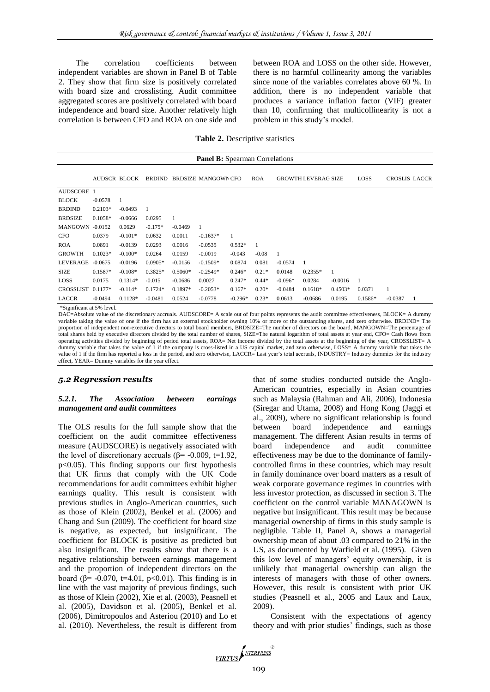The correlation coefficients between independent variables are shown in Panel B of Table 2. They show that firm size is positively correlated with board size and crosslisting. Audit committee aggregated scores are positively correlated with board independence and board size. Another relatively high correlation is between CFO and ROA on one side and between ROA and LOSS on the other side. However, there is no harmful collinearity among the variables since none of the variables correlates above 60 %. In addition, there is no independent variable that produces a variance inflation factor (VIF) greater than 10, confirming that multicollinearity is not a problem in this study's model.

**Table 2.** Descriptive statistics

| <b>Panel B:</b> Spearman Correlations |              |           |           |           |                            |           |            |           |                            |           |           |                      |  |
|---------------------------------------|--------------|-----------|-----------|-----------|----------------------------|-----------|------------|-----------|----------------------------|-----------|-----------|----------------------|--|
|                                       | AUDSCR BLOCK |           |           |           | BRDIND BRDSIZE MANGOWN CFO |           | <b>ROA</b> |           | <b>GROWTH LEVERAG SIZE</b> |           | LOSS      | <b>CROSLIS LACCR</b> |  |
| AUDSCORE 1                            |              |           |           |           |                            |           |            |           |                            |           |           |                      |  |
| <b>BLOCK</b>                          | $-0.0578$    | - 1       |           |           |                            |           |            |           |                            |           |           |                      |  |
| <b>BRDIND</b>                         | $0.2103*$    | $-0.0493$ | 1         |           |                            |           |            |           |                            |           |           |                      |  |
| <b>BRDSIZE</b>                        | $0.1058*$    | $-0.0666$ | 0.0295    | 1         |                            |           |            |           |                            |           |           |                      |  |
| <b>MANGOWN</b>                        | $-0.0152$    | 0.0629    | $-0.175*$ | $-0.0469$ | -1                         |           |            |           |                            |           |           |                      |  |
| <b>CFO</b>                            | 0.0379       | $-0.101*$ | 0.0632    | 0.0011    | $-0.1637*$                 |           |            |           |                            |           |           |                      |  |
| <b>ROA</b>                            | 0.0891       | $-0.0139$ | 0.0293    | 0.0016    | $-0.0535$                  | $0.532*$  | -1         |           |                            |           |           |                      |  |
| <b>GROWTH</b>                         | $0.1023*$    | $-0.100*$ | 0.0264    | 0.0159    | $-0.0019$                  | $-0.043$  | $-0.08$    | 1         |                            |           |           |                      |  |
| LEVERAGE                              | $-0.0675$    | $-0.0196$ | $0.0905*$ | $-0.0156$ | $-0.1509*$                 | 0.0874    | 0.081      | $-0.0574$ | 1                          |           |           |                      |  |
| <b>SIZE</b>                           | $0.1587*$    | $-0.108*$ | $0.3825*$ | $0.5060*$ | $-0.2549*$                 | $0.246*$  | $0.21*$    | 0.0148    | $0.2355*$                  | 1         |           |                      |  |
| LOSS                                  | 0.0175       | $0.1314*$ | $-0.015$  | $-0.0686$ | 0.0027                     | $0.247*$  | $0.44*$    | $-0.096*$ | 0.0284                     | $-0.0016$ |           |                      |  |
| CROSSLIST 0.1177*                     |              | $-0.114*$ | $0.1724*$ | $0.1897*$ | $-0.2053*$                 | $0.167*$  | $0.20*$    | $-0.0484$ | $0.1618*$                  | $0.4503*$ | 0.0371    | 1                    |  |
| LACCR                                 | $-0.0494$    | $0.1128*$ | $-0.0481$ | 0.0524    | $-0.0778$                  | $-0.296*$ | $0.23*$    | 0.0613    | $-0.0686$                  | 0.0195    | $0.1586*$ | $-0.0387$            |  |

\*Significant at 5% level.

DAC=Absolute value of the discretionary accruals. AUDSCORE= A scale out of four points represents the audit committee effectiveness, BLOCK= A dummy variable taking the value of one if the firm has an external stockholder owning 10% or more of the outstanding shares, and zero otherwise. BRDIND= The proportion of independent non-executive directors to total board members, BRDSIZE=The number of directors on the board, MANGOWN=The percentage of total shares held by executive directors divided by the total number of shares, SIZE=The natural logarithm of total assets at year end, CFO= Cash flows from operating activities divided by beginning of period total assets, ROA= Net income divided by the total assets at the beginning of the year, CROSSLIST= A dummy variable that takes the value of 1 if the company is cross-listed in a US capital market, and zero otherwise, LOSS= A dummy variable that takes the value of 1 if the firm has reported a loss in the period, and zero otherwise, LACCR= Last year's total accruals, INDUSTRY= Industry dummies for the industry effect, YEAR= Dummy variables for the year effect.

# *5.2 Regression results*

## *5.2.1. The Association between earnings management and audit committees*

The OLS results for the full sample show that the coefficient on the audit committee effectiveness measure (AUDSCORE) is negatively associated with the level of discretionary accruals ( $\beta$ = -0.009, t=1.92, p<0.05). This finding supports our first hypothesis that UK firms that comply with the UK Code recommendations for audit committees exhibit higher earnings quality. This result is consistent with previous studies in Anglo-American countries, such as those of Klein (2002), Benkel et al. (2006) and Chang and Sun (2009). The coefficient for board size is negative, as expected, but insignificant. The coefficient for BLOCK is positive as predicted but also insignificant. The results show that there is a negative relationship between earnings management and the proportion of independent directors on the board (β= -0.070, t=4.01, p<0.01). This finding is in line with the vast majority of previous findings, such as those of Klein (2002), Xie et al. (2003), Peasnell et al. (2005), Davidson et al. (2005), Benkel et al. (2006), Dimitropoulos and Asteriou (2010) and Lo et al. (2010). Nevertheless, the result is different from that of some studies conducted outside the Anglo-American countries, especially in Asian countries such as Malaysia (Rahman and Ali, 2006), Indonesia (Siregar and Utama, 2008) and Hong Kong (Jaggi et al., 2009), where no significant relationship is found between board independence and earnings management. The different Asian results in terms of board independence and audit committee effectiveness may be due to the dominance of familycontrolled firms in these countries, which may result in family dominance over board matters as a result of weak corporate governance regimes in countries with less investor protection, as discussed in section 3. The coefficient on the control variable MANAGOWN is negative but insignificant. This result may be because managerial ownership of firms in this study sample is negligible. Table II, Panel A, shows a managerial ownership mean of about .03 compared to 21% in the US, as documented by Warfield et al. (1995). Given this low level of managers' equity ownership, it is unlikely that managerial ownership can align the interests of managers with those of other owners. However, this result is consistent with prior UK studies (Peasnell et al., 2005 and Laux and Laux, 2009).

Consistent with the expectations of agency theory and with prior studies' findings, such as those

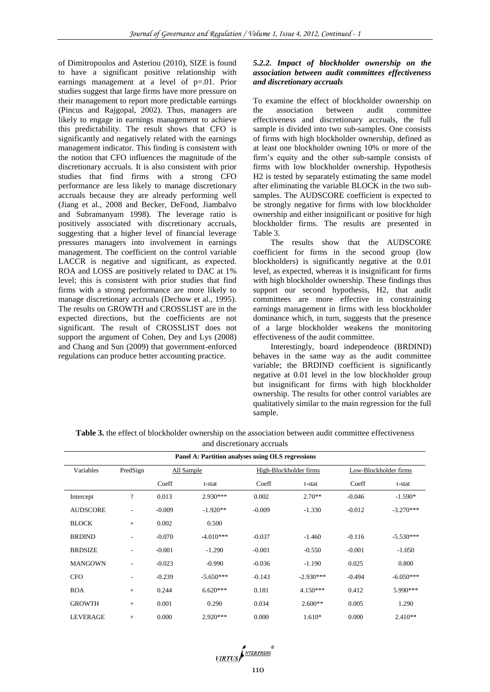of Dimitropoulos and Asteriou (2010), SIZE is found to have a significant positive relationship with earnings management at a level of p=.01. Prior studies suggest that large firms have more pressure on their management to report more predictable earnings (Pincus and Rajgopal, 2002). Thus, managers are likely to engage in earnings management to achieve this predictability. The result shows that CFO is significantly and negatively related with the earnings management indicator. This finding is consistent with the notion that CFO influences the magnitude of the discretionary accruals. It is also consistent with prior studies that find firms with a strong CFO performance are less likely to manage discretionary accruals because they are already performing well (Jiang et al., 2008 and Becker, DeFond, Jiambalvo and Subramanyam 1998). The leverage ratio is positively associated with discretionary accruals, suggesting that a higher level of financial leverage pressures managers into involvement in earnings management. The coefficient on the control variable LACCR is negative and significant, as expected. ROA and LOSS are positively related to DAC at 1% level; this is consistent with prior studies that find firms with a strong performance are more likely to manage discretionary accruals (Dechow et al., 1995). The results on GROWTH and CROSSLIST are in the expected directions, but the coefficients are not significant. The result of CROSSLIST does not support the argument of Cohen, Dey and Lys (2008) and Chang and Sun (2009) that government-enforced regulations can produce better accounting practice.

## *5.2.2. Impact of blockholder ownership on the association between audit committees effectiveness and discretionary accruals*

To examine the effect of blockholder ownership on the association between audit committee effectiveness and discretionary accruals, the full sample is divided into two sub-samples. One consists of firms with high blockholder ownership, defined as at least one blockholder owning 10% or more of the firm's equity and the other sub-sample consists of firms with low blockholder ownership. Hypothesis H2 is tested by separately estimating the same model after eliminating the variable BLOCK in the two subsamples. The AUDSCORE coefficient is expected to be strongly negative for firms with low blockholder ownership and either insignificant or positive for high blockholder firms. The results are presented in Table 3.

The results show that the AUDSCORE coefficient for firms in the second group (low blockholders) is significantly negative at the 0.01 level, as expected, whereas it is insignificant for firms with high blockholder ownership. These findings thus support our second hypothesis, H2, that audit committees are more effective in constraining earnings management in firms with less blockholder dominance which, in turn, suggests that the presence of a large blockholder weakens the monitoring effectiveness of the audit committee.

Interestingly, board independence (BRDIND) behaves in the same way as the audit committee variable; the BRDIND coefficient is significantly negative at 0.01 level in the low blockholder group but insignificant for firms with high blockholder ownership. The results for other control variables are qualitatively similar to the main regression for the full sample.

**Table 3.** the effect of blockholder ownership on the association between audit committee effectiveness and discretionary accruals

| Panel A: Partition analyses using OLS regressions |                          |          |             |          |                        |                       |             |  |  |
|---------------------------------------------------|--------------------------|----------|-------------|----------|------------------------|-----------------------|-------------|--|--|
| Variables                                         | PredSign                 |          | All Sample  |          | High-Blockholder firms | Low-Blockholder firms |             |  |  |
|                                                   |                          | Coeff    | t-stat      | Coeff    | t-stat                 | Coeff                 | t-stat      |  |  |
| Intercept                                         | $\overline{?}$           | 0.013    | $2.930***$  | 0.002    | $2.70**$               | $-0.046$              | $-1.590*$   |  |  |
| <b>AUDSCORE</b>                                   |                          | $-0.009$ | $-1.920**$  | $-0.009$ | $-1.330$               | $-0.012$              | $-3.270***$ |  |  |
| <b>BLOCK</b>                                      | $+$                      | 0.002    | 0.500       |          |                        |                       |             |  |  |
| <b>BRDIND</b>                                     |                          | $-0.070$ | $-4.010***$ | $-0.037$ | $-1.460$               | $-0.116$              | $-5.530***$ |  |  |
| <b>BRDSIZE</b>                                    | -                        | $-0.001$ | $-1.290$    | $-0.001$ | $-0.550$               | $-0.001$              | $-1.050$    |  |  |
| <b>MANGOWN</b>                                    | ٠                        | $-0.023$ | $-0.990$    | $-0.036$ | $-1.190$               | 0.025                 | 0.800       |  |  |
| <b>CFO</b>                                        | $\overline{\phantom{0}}$ | $-0.239$ | $-5.650***$ | $-0.143$ | $-2.930***$            | $-0.494$              | $-6.050***$ |  |  |
| <b>ROA</b>                                        | $+$                      | 0.244    | $6.620***$  | 0.181    | $4.150***$             | 0.412                 | 5.990***    |  |  |
| <b>GROWTH</b>                                     | $+$                      | 0.001    | 0.290       | 0.034    | $2.600**$              | 0.005                 | 1.290       |  |  |
| <b>LEVERAGE</b>                                   | $+$                      | 0.000    | $2.920***$  | 0.000    | $1.610*$               | 0.000                 | $2.410**$   |  |  |

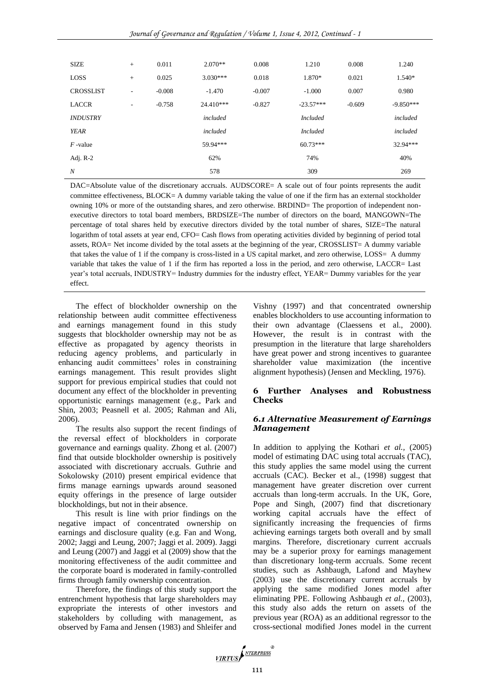| <b>SIZE</b>            | $+$                      | 0.011    | $2.070**$   | 0.008    | 1.210           | 0.008    | 1.240       |
|------------------------|--------------------------|----------|-------------|----------|-----------------|----------|-------------|
| <b>LOSS</b>            | $+$                      | 0.025    | $3.030***$  | 0.018    | 1.870*          | 0.021    | $1.540*$    |
| <b>CROSSLIST</b>       | ٠                        | $-0.008$ | $-1.470$    | $-0.007$ | $-1.000$        | 0.007    | 0.980       |
| <b>LACCR</b>           | $\overline{\phantom{a}}$ | $-0.758$ | $24.410***$ | $-0.827$ | $-23.57***$     | $-0.609$ | $-9.850***$ |
| <i><b>INDUSTRY</b></i> |                          |          | included    |          | <b>Included</b> |          | included    |
| <b>YEAR</b>            |                          |          | included    |          | <b>Included</b> |          | included    |
| $F$ -value             |                          |          | 59.94***    |          | $60.73***$      |          | 32.94***    |
| Adj. $R-2$             |                          |          | 62%         |          | 74%             |          | 40%         |
| $\overline{N}$         |                          |          | 578         |          | 309             |          | 269         |

DAC=Absolute value of the discretionary accruals. AUDSCORE= A scale out of four points represents the audit committee effectiveness, BLOCK= A dummy variable taking the value of one if the firm has an external stockholder owning 10% or more of the outstanding shares, and zero otherwise. BRDIND= The proportion of independent nonexecutive directors to total board members, BRDSIZE=The number of directors on the board, MANGOWN=The percentage of total shares held by executive directors divided by the total number of shares, SIZE=The natural logarithm of total assets at year end, CFO= Cash flows from operating activities divided by beginning of period total assets, ROA= Net income divided by the total assets at the beginning of the year, CROSSLIST= A dummy variable that takes the value of 1 if the company is cross-listed in a US capital market, and zero otherwise, LOSS= A dummy variable that takes the value of 1 if the firm has reported a loss in the period, and zero otherwise, LACCR= Last year's total accruals, INDUSTRY= Industry dummies for the industry effect, YEAR= Dummy variables for the year effect.

The effect of blockholder ownership on the relationship between audit committee effectiveness and earnings management found in this study suggests that blockholder ownership may not be as effective as propagated by agency theorists in reducing agency problems, and particularly in enhancing audit committees' roles in constraining earnings management. This result provides slight support for previous empirical studies that could not document any effect of the blockholder in preventing opportunistic earnings management (e.g., Park and Shin, 2003; Peasnell et al. 2005; Rahman and Ali, 2006).

The results also support the recent findings of the reversal effect of blockholders in corporate governance and earnings quality. Zhong et al. (2007) find that outside blockholder ownership is positively associated with discretionary accruals. Guthrie and Sokolowsky (2010) present empirical evidence that firms manage earnings upwards around seasoned equity offerings in the presence of large outsider blockholdings, but not in their absence.

This result is line with prior findings on the negative impact of concentrated ownership on earnings and disclosure quality (e.g. Fan and Wong, 2002; Jaggi and Leung, 2007; Jaggi et al. 2009). Jaggi and Leung (2007) and Jaggi et al (2009) show that the monitoring effectiveness of the audit committee and the corporate board is moderated in family-controlled firms through family ownership concentration.

Therefore, the findings of this study support the entrenchment hypothesis that large shareholders may expropriate the interests of other investors and stakeholders by colluding with management, as observed by Fama and Jensen (1983) and Shleifer and Vishny (1997) and that concentrated ownership enables blockholders to use accounting information to their own advantage (Claessens et al., 2000). However, the result is in contrast with the presumption in the literature that large shareholders have great power and strong incentives to guarantee shareholder value maximization (the incentive alignment hypothesis) (Jensen and Meckling, 1976).

## **6 Further Analyses and Robustness Checks**

## *6.1 Alternative Measurement of Earnings Management*

In addition to applying the Kothari *et al.,* (2005) model of estimating DAC using total accruals (TAC), this study applies the same model using the current accruals (CAC). Becker et al., (1998) suggest that management have greater discretion over current accruals than long-term accruals. In the UK, Gore, Pope and Singh, (2007) find that discretionary working capital accruals have the effect of significantly increasing the frequencies of firms achieving earnings targets both overall and by small margins. Therefore, discretionary current accruals may be a superior proxy for earnings management than discretionary long-term accruals. Some recent studies, such as Ashbaugh, Lafond and Mayhew (2003) use the discretionary current accruals by applying the same modified Jones model after eliminating PPE. Following Ashbaugh *et al.,* (2003), this study also adds the return on assets of the previous year (ROA) as an additional regressor to the cross-sectional modified Jones model in the current

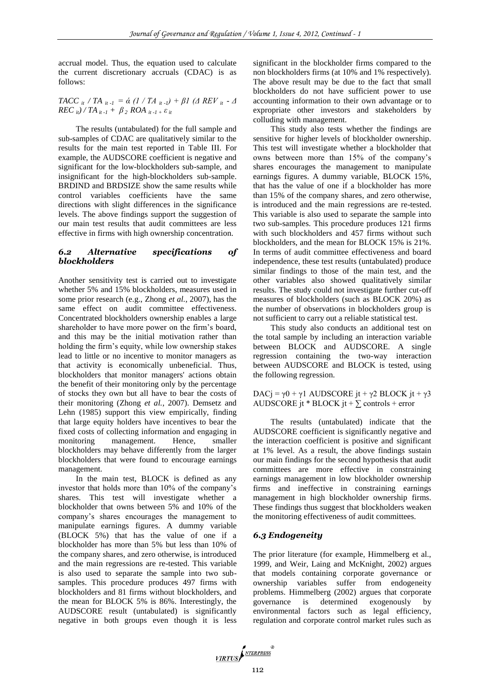accrual model. Thus, the equation used to calculate the current discretionary accruals (CDAC) is as follows:

*TACC*  $\frac{1}{t}$  / *TA*  $\frac{1}{t}$  -1 = *ά* (1 / *TA*  $\frac{1}{t}$  -1) + *β1* (*Δ REV*  $\frac{1}{t}$  - *Δ*  $REC_{it}$ ) / TA  $_{it-l}$  +  $\beta$  *z*  $ROA_{it-l}$  +  $\varepsilon$ <sub>it</sub>

The results (untabulated) for the full sample and sub-samples of CDAC are qualitatively similar to the results for the main test reported in Table III. For example, the AUDSCORE coefficient is negative and significant for the low-blockholders sub-sample, and insignificant for the high-blockholders sub-sample. BRDIND and BRDSIZE show the same results while control variables coefficients have the same directions with slight differences in the significance levels. The above findings support the suggestion of our main test results that audit committees are less effective in firms with high ownership concentration.

# *6.2 Alternative specifications of blockholders*

Another sensitivity test is carried out to investigate whether 5% and 15% blockholders, measures used in some prior research (e.g., Zhong *et al.*, 2007), has the same effect on audit committee effectiveness. Concentrated blockholders ownership enables a large shareholder to have more power on the firm's board, and this may be the initial motivation rather than holding the firm's equity, while low ownership stakes lead to little or no incentive to monitor managers as that activity is economically unbeneficial. Thus, blockholders that monitor managers' actions obtain the benefit of their monitoring only by the percentage of stocks they own but all have to bear the costs of their monitoring (Zhong *et al.*, 2007). Demsetz and Lehn (1985) support this view empirically, finding that large equity holders have incentives to bear the fixed costs of collecting information and engaging in monitoring management. Hence, smaller blockholders may behave differently from the larger blockholders that were found to encourage earnings management.

In the main test, BLOCK is defined as any investor that holds more than 10% of the company's shares. This test will investigate whether a blockholder that owns between 5% and 10% of the company's shares encourages the management to manipulate earnings figures. A dummy variable (BLOCK 5%) that has the value of one if a blockholder has more than 5% but less than 10% of the company shares, and zero otherwise, is introduced and the main regressions are re-tested. This variable is also used to separate the sample into two subsamples. This procedure produces 497 firms with blockholders and 81 firms without blockholders, and the mean for BLOCK 5% is 86%. Interestingly, the AUDSCORE result (untabulated) is significantly negative in both groups even though it is less significant in the blockholder firms compared to the non blockholders firms (at 10% and 1% respectively). The above result may be due to the fact that small blockholders do not have sufficient power to use accounting information to their own advantage or to expropriate other investors and stakeholders by colluding with management.

This study also tests whether the findings are sensitive for higher levels of blockholder ownership. This test will investigate whether a blockholder that owns between more than 15% of the company's shares encourages the management to manipulate earnings figures. A dummy variable, BLOCK 15%, that has the value of one if a blockholder has more than 15% of the company shares, and zero otherwise, is introduced and the main regressions are re-tested. This variable is also used to separate the sample into two sub-samples. This procedure produces 121 firms with such blockholders and 457 firms without such blockholders, and the mean for BLOCK 15% is 21%. In terms of audit committee effectiveness and board independence, these test results (untabulated) produce similar findings to those of the main test, and the other variables also showed qualitatively similar results. The study could not investigate further cut-off measures of blockholders (such as BLOCK 20%) as the number of observations in blockholders group is not sufficient to carry out a reliable statistical test.

This study also conducts an additional test on the total sample by including an interaction variable between BLOCK and AUDSCORE. A single regression containing the two-way interaction between AUDSCORE and BLOCK is tested, using the following regression.

# DACj =  $\gamma$ 0 + γ1 AUDSCORE jt + γ2 BLOCK jt + γ3 AUDSCORE jt \* BLOCK jt +  $\sum$  controls + error

The results (untabulated) indicate that the AUDSCORE coefficient is significantly negative and the interaction coefficient is positive and significant at 1% level. As a result, the above findings sustain our main findings for the second hypothesis that audit committees are more effective in constraining earnings management in low blockholder ownership firms and ineffective in constraining earnings management in high blockholder ownership firms. These findings thus suggest that blockholders weaken the monitoring effectiveness of audit committees.

# *6.3 Endogeneity*

The prior literature (for example, Himmelberg et al., 1999, and Weir, Laing and McKnight, 2002) argues that models containing corporate governance or ownership variables suffer from endogeneity problems. Himmelberg (2002) argues that corporate governance is determined exogenously by environmental factors such as legal efficiency, regulation and corporate control market rules such as

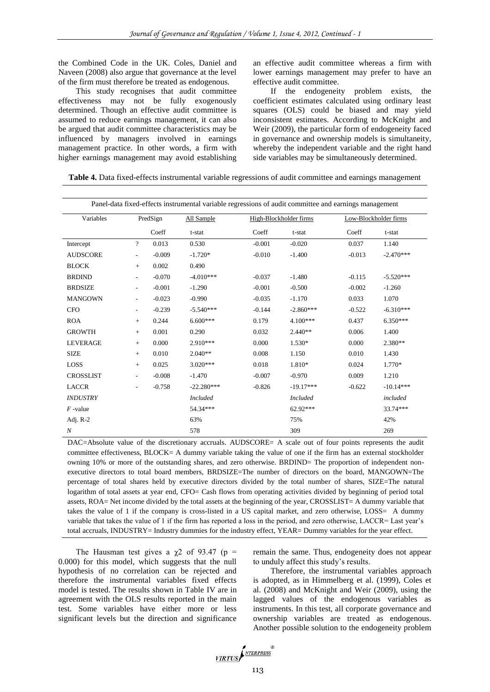the Combined Code in the UK. Coles, Daniel and Naveen (2008) also argue that governance at the level of the firm must therefore be treated as endogenous.

This study recognises that audit committee effectiveness may not be fully exogenously determined. Though an effective audit committee is assumed to reduce earnings management, it can also be argued that audit committee characteristics may be influenced by managers involved in earnings management practice. In other words, a firm with higher earnings management may avoid establishing

an effective audit committee whereas a firm with lower earnings management may prefer to have an effective audit committee.

If the endogeneity problem exists, the coefficient estimates calculated using ordinary least squares (OLS) could be biased and may yield inconsistent estimates. According to McKnight and Weir (2009), the particular form of endogeneity faced in governance and ownership models is simultaneity, whereby the independent variable and the right hand side variables may be simultaneously determined.

| Table 4. Data fixed-effects instrumental variable regressions of audit committee and earnings management |  |
|----------------------------------------------------------------------------------------------------------|--|
|                                                                                                          |  |

| Panel-data fixed-effects instrumental variable regressions of audit committee and earnings management |                          |          |                 |          |                        |          |                       |  |  |
|-------------------------------------------------------------------------------------------------------|--------------------------|----------|-----------------|----------|------------------------|----------|-----------------------|--|--|
| Variables                                                                                             | PredSign                 |          | All Sample      |          | High-Blockholder firms |          | Low-Blockholder firms |  |  |
|                                                                                                       |                          | Coeff    | t-stat          | Coeff    | t-stat                 | Coeff    | t-stat                |  |  |
| Intercept                                                                                             | $\overline{\mathcal{L}}$ | 0.013    | 0.530           | $-0.001$ | $-0.020$               | 0.037    | 1.140                 |  |  |
| <b>AUDSCORE</b>                                                                                       | $\overline{\phantom{a}}$ | $-0.009$ | $-1.720*$       | $-0.010$ | $-1.400$               | $-0.013$ | $-2.470***$           |  |  |
| <b>BLOCK</b>                                                                                          | $+$                      | 0.002    | 0.490           |          |                        |          |                       |  |  |
| <b>BRDIND</b>                                                                                         | ٠                        | $-0.070$ | $-4.010***$     | $-0.037$ | $-1.480$               | $-0.115$ | $-5.520***$           |  |  |
| <b>BRDSIZE</b>                                                                                        | $\overline{\phantom{a}}$ | $-0.001$ | $-1.290$        | $-0.001$ | $-0.500$               | $-0.002$ | $-1.260$              |  |  |
| <b>MANGOWN</b>                                                                                        | $\overline{\phantom{a}}$ | $-0.023$ | $-0.990$        | $-0.035$ | $-1.170$               | 0.033    | 1.070                 |  |  |
| <b>CFO</b>                                                                                            | ٠                        | $-0.239$ | $-5.540***$     | $-0.144$ | $-2.860***$            | $-0.522$ | $-6.310***$           |  |  |
| <b>ROA</b>                                                                                            | $+$                      | 0.244    | $6.600***$      | 0.179    | $4.100***$             | 0.437    | $6.350***$            |  |  |
| <b>GROWTH</b>                                                                                         | $+$                      | 0.001    | 0.290           | 0.032    | $2.440**$              | 0.006    | 1.400                 |  |  |
| <b>LEVERAGE</b>                                                                                       | $+$                      | 0.000    | $2.910***$      | 0.000    | $1.530*$               | 0.000    | $2.380**$             |  |  |
| <b>SIZE</b>                                                                                           | $+$                      | 0.010    | $2.040**$       | 0.008    | 1.150                  | 0.010    | 1.430                 |  |  |
| <b>LOSS</b>                                                                                           | $+$                      | 0.025    | $3.020***$      | 0.018    | 1.810*                 | 0.024    | 1.770*                |  |  |
| <b>CROSSLIST</b>                                                                                      | $\overline{\phantom{a}}$ | $-0.008$ | $-1.470$        | $-0.007$ | $-0.970$               | 0.009    | 1.210                 |  |  |
| <b>LACCR</b>                                                                                          | $\overline{\phantom{a}}$ | $-0.758$ | $-22.280***$    | $-0.826$ | $-19.17***$            | $-0.622$ | $-10.14***$           |  |  |
| <b>INDUSTRY</b>                                                                                       |                          |          | <b>Included</b> |          | <b>Included</b>        |          | included              |  |  |
| $F$ -value                                                                                            |                          |          | 54.34***        |          | $62.92***$             |          | 33.74***              |  |  |
| Adj. $R-2$                                                                                            |                          |          | 63%             |          | 75%                    |          | 42%                   |  |  |
| $\boldsymbol{N}$                                                                                      |                          |          | 578             |          | 309                    |          | 269                   |  |  |

DAC=Absolute value of the discretionary accruals. AUDSCORE= A scale out of four points represents the audit committee effectiveness, BLOCK= A dummy variable taking the value of one if the firm has an external stockholder owning 10% or more of the outstanding shares, and zero otherwise. BRDIND= The proportion of independent nonexecutive directors to total board members, BRDSIZE=The number of directors on the board, MANGOWN=The percentage of total shares held by executive directors divided by the total number of shares, SIZE=The natural logarithm of total assets at year end, CFO= Cash flows from operating activities divided by beginning of period total assets, ROA= Net income divided by the total assets at the beginning of the year, CROSSLIST= A dummy variable that takes the value of 1 if the company is cross-listed in a US capital market, and zero otherwise, LOSS= A dummy variable that takes the value of 1 if the firm has reported a loss in the period, and zero otherwise, LACCR= Last year's total accruals, INDUSTRY= Industry dummies for the industry effect, YEAR= Dummy variables for the year effect.

The Hausman test gives a  $\chi$ 2 of 93.47 (p = 0.000) for this model, which suggests that the null hypothesis of no correlation can be rejected and therefore the instrumental variables fixed effects model is tested. The results shown in Table IV are in agreement with the OLS results reported in the main test. Some variables have either more or less significant levels but the direction and significance

remain the same. Thus, endogeneity does not appear to unduly affect this study's results.

Therefore, the instrumental variables approach is adopted, as in Himmelberg et al. (1999), Coles et al. (2008) and McKnight and Weir (2009), using the lagged values of the endogenous variables as instruments. In this test, all corporate governance and ownership variables are treated as endogenous. Another possible solution to the endogeneity problem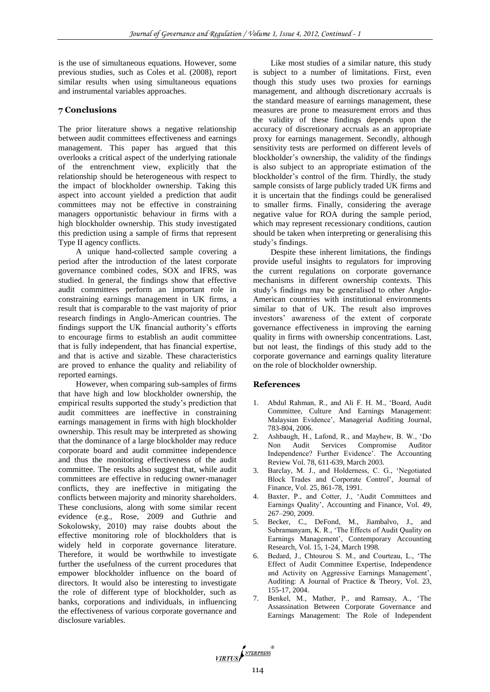is the use of simultaneous equations. However, some previous studies, such as Coles et al. (2008), report similar results when using simultaneous equations and instrumental variables approaches.

# **7 Conclusions**

The prior literature shows a negative relationship between audit committees effectiveness and earnings management. This paper has argued that this overlooks a critical aspect of the underlying rationale of the entrenchment view, explicitly that the relationship should be heterogeneous with respect to the impact of blockholder ownership. Taking this aspect into account yielded a prediction that audit committees may not be effective in constraining managers opportunistic behaviour in firms with a high blockholder ownership. This study investigated this prediction using a sample of firms that represent Type II agency conflicts.

A unique hand-collected sample covering a period after the introduction of the latest corporate governance combined codes, SOX and IFRS, was studied. In general, the findings show that effective audit committees perform an important role in constraining earnings management in UK firms, a result that is comparable to the vast majority of prior research findings in Anglo-American countries. The findings support the UK financial authority's efforts to encourage firms to establish an audit committee that is fully independent, that has financial expertise, and that is active and sizable. These characteristics are proved to enhance the quality and reliability of reported earnings.

However, when comparing sub-samples of firms that have high and low blockholder ownership, the empirical results supported the study's prediction that audit committees are ineffective in constraining earnings management in firms with high blockholder ownership. This result may be interpreted as showing that the dominance of a large blockholder may reduce corporate board and audit committee independence and thus the monitoring effectiveness of the audit committee. The results also suggest that, while audit committees are effective in reducing owner-manager conflicts, they are ineffective in mitigating the conflicts between majority and minority shareholders. These conclusions, along with some similar recent evidence (e.g., Rose, 2009 and Guthrie and Sokolowsky, 2010) may raise doubts about the effective monitoring role of blockholders that is widely held in corporate governance literature. Therefore, it would be worthwhile to investigate further the usefulness of the current procedures that empower blockholder influence on the board of directors. It would also be interesting to investigate the role of different type of blockholder, such as banks, corporations and individuals, in influencing the effectiveness of various corporate governance and disclosure variables.

Like most studies of a similar nature, this study is subject to a number of limitations. First, even though this study uses two proxies for earnings management, and although discretionary accruals is the standard measure of earnings management, these measures are prone to measurement errors and thus the validity of these findings depends upon the accuracy of discretionary accruals as an appropriate proxy for earnings management. Secondly, although sensitivity tests are performed on different levels of blockholder's ownership, the validity of the findings is also subject to an appropriate estimation of the blockholder's control of the firm. Thirdly, the study sample consists of large publicly traded UK firms and it is uncertain that the findings could be generalised to smaller firms. Finally, considering the average negative value for ROA during the sample period, which may represent recessionary conditions, caution should be taken when interpreting or generalising this study's findings.

Despite these inherent limitations, the findings provide useful insights to regulators for improving the current regulations on corporate governance mechanisms in different ownership contexts. This study's findings may be generalised to other Anglo-American countries with institutional environments similar to that of UK. The result also improves investors' awareness of the extent of corporate governance effectiveness in improving the earning quality in firms with ownership concentrations. Last, but not least, the findings of this study add to the corporate governance and earnings quality literature on the role of blockholder ownership.

# **References**

- 1. Abdul Rahman, R., and Ali F. H. M., 'Board, Audit Committee, Culture And Earnings Management: Malaysian Evidence', Managerial Auditing Journal, 783-804, 2006.
- 2. Ashbaugh, H., Lafond, R., and Mayhew, B. W., 'Do Non Audit Services Compromise Auditor Independence? Further Evidence'. The Accounting Review Vol. 78, 611-639, March 2003.
- 3. Barclay, M. J., and Holderness, C. G., 'Negotiated Block Trades and Corporate Control', Journal of Finance, Vol. 25, 861-78, 1991.
- 4. Baxter, P., and Cotter, J., 'Audit Committees and Earnings Quality', Accounting and Finance, Vol. 49, 267–290, 2009.
- 5. Becker, C., DeFond, M., Jiambalvo, J., and Subramanyam, K. R., 'The Effects of Audit Quality on Earnings Management', Contemporary Accounting Research, Vol. 15, 1-24, March 1998.
- 6. Bedard, J., Chtourou S. M., and Courteau, L., 'The Effect of Audit Committee Expertise, Independence and Activity on Aggressive Earnings Management', Auditing: A Journal of Practice & Theory, Vol. 23, 155-17, 2004.
- 7. Benkel, M., Mather, P., and Ramsay, A., 'The Assassination Between Corporate Governance and Earnings Management: The Role of Independent

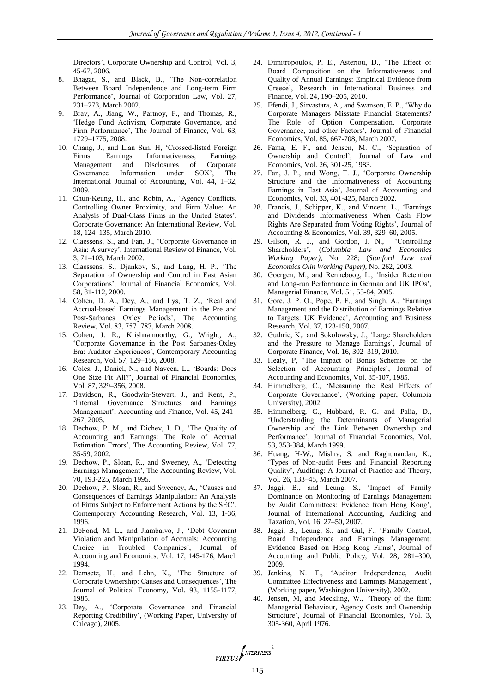Directors', Corporate Ownership and Control, Vol. 3, 45-67, 2006.

- 8. Bhagat, S., and Black, B., 'The Non-correlation Between Board Independence and Long-term Firm Performance', Journal of Corporation Law, Vol. 27, 231–273, March 2002.
- 9. Brav, A., Jiang, W., Partnoy, F., and Thomas, R., 'Hedge Fund Activism, Corporate Governance, and Firm Performance', The Journal of Finance, Vol. 63, 1729–1775, 2008.
- 10. Chang, J., and Lian Sun, H, 'Crossed-listed Foreign Firms' Earnings Informativeness, Earnings Management and Disclosures of Corporate Governance Information under SOX', The International Journal of Accounting, Vol. 44, 1–32, 2009.
- 11. Chun-Keung, H., and Robin, A., 'Agency Conflicts, Controlling Owner Proximity, and Firm Value: An Analysis of Dual-Class Firms in the United States', Corporate Governance: An International Review, Vol. 18, 124–135, March 2010.
- 12. Claessens, S., and Fan, J., 'Corporate Governance in Asia: A survey', International Review of Finance, Vol. 3, 71–103, March 2002.
- 13. Claessens, S., Djankov, S., and Lang, H. P., 'The Separation of Ownership and Control in East Asian Corporations', Journal of Financial Economics, Vol. 58, 81-112, 2000.
- 14. Cohen, D. A., Dey, A., and Lys, T. Z., 'Real and Accrual-based Earnings Management in the Pre and Post-Sarbanes Oxley Periods', The Accounting Review, Vol. 83, 757−787, March 2008.
- 15. Cohen, J. R., Krishnamoorthy, G., Wright, A., 'Corporate Governance in the Post Sarbanes-Oxley Era: Auditor Experiences', Contemporary Accounting Research, Vol. 57, 129–156, 2008.
- 16. Coles, J., Daniel, N., and Naveen, L., 'Boards: Does One Size Fit All?', Journal of Financial Economics, Vol. 87, 329–356, 2008.
- 17. Davidson, R., Goodwin-Stewart, J., and Kent, P., 'Internal Governance Structures and Earnings Management', Accounting and Finance, Vol. 45, 241– 267, 2005.
- 18. Dechow, P. M., and Dichev, I. D., 'The Quality of Accounting and Earnings: The Role of Accrual Estimation Errors', The Accounting Review, Vol. 77, 35-59, 2002.
- 19. Dechow, P., Sloan, R., and Sweeney, A., 'Detecting Earnings Management', The Accounting Review, Vol. 70, 193-225, March 1995.
- 20. Dechow, P., Sloan, R., and Sweeney, A., 'Causes and Consequences of Earnings Manipulation: An Analysis of Firms Subject to Enforcement Actions by the SEC', Contemporary Accounting Research, Vol. 13, 1-36, 1996.
- 21. DeFond, M. L., and Jiambalvo, J., 'Debt Covenant Violation and Manipulation of Accruals: Accounting Choice in Troubled Companies', Journal of Accounting and Economics, Vol. 17, 145-176, March 1994.
- 22. Demsetz, H., and Lehn, K., 'The Structure of Corporate Ownership: Causes and Consequences', The Journal of Political Economy, Vol. 93, 1155-1177, 1985.
- 23. Dey, A., 'Corporate Governance and Financial Reporting Credibility', (Working Paper, University of Chicago), 2005.
- 24. Dimitropoulos, P. E., Asteriou, D., 'The Effect of Board Composition on the Informativeness and Quality of Annual Earnings: Empirical Evidence from Greece', Research in International Business and Finance, Vol. 24, 190–205, 2010.
- 25. Efendi, J., Sirvastara, A., and Swanson, E. P., 'Why do Corporate Managers Misstate Financial Statements? The Role of Option Compensation, Corporate Governance, and other Factors', Journal of Financial Economics, Vol. 85, 667-708, March 2007.
- 26. Fama, E. F., and Jensen, M. C., 'Separation of Ownership and Control', Journal of Law and Economics, Vol. 26, 301-25, 1983.
- 27. Fan, J. P., and Wong, T. J., 'Corporate Ownership Structure and the Informativeness of Accounting Earnings in East Asia', Journal of Accounting and Economics, Vol. 33, 401-425, March 2002.
- 28. Francis, J., Schipper, K., and Vincent, L., 'Earnings and Dividends Informativeness When Cash Flow Rights Are Separated from Voting Rights', Journal of Accounting & Economics, Vol. 39, 329–60, 2005.
- 29. Gilson, R. J., and Gordon, J. N., "Controlling Shareholders', (*Columbia Law and Economics Working Paper)*, No. 228; (*Stanford Law and Economics Olin Working Paper),* No. 262, 2003.
- 30. Goergen, M., and Renneboog, L., 'Insider Retention and Long-run Performance in German and UK IPOs', Managerial Finance, Vol. 51, 55-84, 2005.
- 31. Gore, J. P. O., Pope, P. F., and Singh, A., 'Earnings Management and the Distribution of Earnings Relative to Targets: UK Evidence', Accounting and Business Research, Vol. 37, 123-150, 2007.
- 32. Guthrie, K,. and Sokolowsky, J., 'Large Shareholders and the Pressure to Manage Earnings', Journal of Corporate Finance, Vol. 16, 302–319, 2010.
- 33. Healy, P, 'The Impact of Bonus Schemes on the Selection of Accounting Principles', Journal of Accounting and Economics, Vol. 85-107, 1985.
- 34. Himmelberg, C., 'Measuring the Real Effects of Corporate Governance', (Working paper, Columbia University), 2002.
- 35. Himmelberg, C., Hubbard, R. G. and Palia, D., 'Understanding the Determinants of Managerial Ownership and the Link Between Ownership and Performance', Journal of Financial Economics, Vol. 53, 353-384, March 1999.
- 36. Huang, H-W., Mishra, S. and Raghunandan, K., 'Types of Non-audit Fees and Financial Reporting Quality', Auditing: A Journal of Practice and Theory, Vol. 26, 133–45, March 2007.
- 37. Jaggi, B., and Leung, S., 'Impact of Family Dominance on Monitoring of Earnings Management by Audit Committees: Evidence from Hong Kong', Journal of International Accounting, Auditing and Taxation, Vol. 16, 27–50, 2007.
- 38. Jaggi, B., Leung, S., and Gul, F., 'Family Control, Board Independence and Earnings Management: Evidence Based on Hong Kong Firms', Journal of Accounting and Public Policy, Vol. 28, 281–300, 2009.
- 39. Jenkins, N. T., 'Auditor Independence, Audit Committee Effectiveness and Earnings Management', (Working paper, Washington University), 2002.
- 40. Jensen, M, and Meckling, W., 'Theory of the firm: Managerial Behaviour, Agency Costs and Ownership Structure', Journal of Financial Economics, Vol. 3, 305-360, April 1976.

VIRTUS